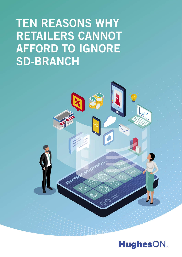# **TEN REASONS WHY RETAILERS CANNOT AFFORD TO IGNORE SD-BRANCH**



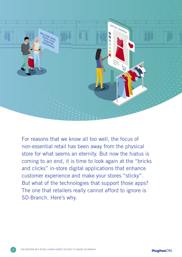

For reasons that we know all too well, the focus of non-essential retail has been away from the physical store for what seems an eternity. But now the hiatus is coming to an end, it is time to look again at the "bricks" and clicks" in-store digital applications that enhance customer experience and make your stores "sticky". But what of the technologies that support those apps? The one that retailers really cannot afford to ignore is SD-Branch. Here's why.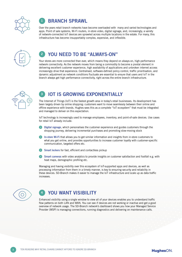

### **BRANCH SPRAWL**

Over the vears retail branch networks have become overloaded with many and varied technologies and apps. Point of sale systems, Wi-Fi routers, in-store video, digital signage, and, increasingly, a variety of network-connected IoT devices are sprawled across multiple locations in the estate. For many, this infrastructure has become insupportably complex, expensive, and inflexible.



### **YOU NEED TO BE "ALWAYS-ON"**

Your stores are more connected than ever, which means they depend on always-on, high-performance network connectivity. As the network moves from being a commodity to become a pivotal element in delivering excellent customer experience, high availability of applications and unbroken internet access increasingly drive that experience. Centralised, software-defined policy control, traffic prioritisation, and dynamic adjustment as network conditions fluctuate are essential to ensure that users and IoT in the branch always get high performance connectivity, right across the entire branch infrastructure.



### **EXPONENTIALLY EXPONENTIALLY**

The Internet of Things (IoT) is the fastest growth area in today's retail businesses. Its development has been largely driven by online shopping: customers want to move seamlessly between their online and offline experience with brands. Hughes sees this as a complete " $10T$  ecosystem" that must be integrated and managed to deliver on this expectation.

loT technology is increasingly used to manage employees, inventory, and point-of-sale devices. Use cases for retail IoT already include:

- **Example 1** Digital signage, which personalises the customer experience and guides customers through the shopping-journey, delivering incremental purchases and promoting slow-moving stock
- **1** In-store Wi-Fi that allows you to get similar information and insights from in-store customers to what you get online, and provides opportunities to increase customer loyalty with customer-specific communication, targeted offers etc.
- **Smart lockers for fast, efficient and contactless pickup**
- Smart cameras with video analytics to provide insights on customer satisfaction and footfall e.g. with heat maps, demographic profiling etc.

Managing and having visibility over this ecosystem of loT-supported apps and devices, as well as processing information from them in a timely manner, is key to ensuring security and reliability in these devices. SD-Branch makes it easier to manage the IoT infrastructure and scale up as data traffic .increases



### *A* YOU WANT VISIBILITY

Enhanced visibility using a single window to view all of your devices enables you to understand traffic flow patterns on both LAN and WAN. You can see if devices are not working or inactive and get a good overview of network usage. The SD-Branch network's dashboard shows you how your Managed Service Provider (MSP) is managing connections, running diagnostics and delivering on maintenance calls.

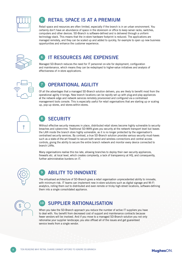

### **PRETAIL SPACE IS AT A PREMIUM**

Retail space and resources are often limited, especially if the branch is in an urban environment. You certainly don't have an abundance of space in the storeroom or office to keep server racks, switches, computers and other devices. SD-Branch is software-defined and is delivered through a uniform technology stack. This means that the in-store hardware footprint is reduced. The applications are managed remotely, and they can be scaled up and added to quickly, for example to open up new business opportunities and enhance the customer experience.



### **EXPENSIVE ARE EXPENSIVE**

Managed SD-Branch reduces the need for IT personnel on-site for deployment, configuration and maintenance, which means they can be redeployed to higher-value initiatives and analysis of effectiveness of in-store applications.



## *APERATIONAL AGILITY*

Of all the advantages that a managed SD-Branch solution delivers, you are likely to benefit most from the operational agility it brings. New branch locations can be rapidly set up with plug-and-play appliances at the network edge and network services remotely provisioned and configured via a centralised management tools console. This is especially useful for retail organisations that are starting up or scaling up, pop-up stores, and stores-within-stores.



# **8** SECURITY

Without effective security measures in place, distributed retail stores become highly vulnerable to security breaches and cybercrime. Traditional SD-WAN gives you security at the network transport level but leaves the LAN inside the branch store highly vulnerable, as it is no longer protected by the organisation's centralised security services. By contrast, a true SD-Branch solution provides various security must-haves such as a state-of-the-art firewall to secure both wired and wireless connections and central access controls, giving the ability to secure the entire branch network and monitor every device connected to branch LANs.

Many organisations realise this too late, allowing branches to deploy their own security appliances, firewalls etc. at local level, which creates complexity, a lack of transparency at HQ, and consequently, further administrative burdens on IT.



## **9 ABILITY TO INNOVATE**

The virtualised architecture of SD-Branch gives a retail organisation unprecedented ability to innovate, with minimum risk. IT teams can implement new in-store solutions such as digital signage and Wi-Fi analytics, rolling them out to distributed and even remote or tricky high-street locations, software-defining them into a single consolidated appliance.



### **RATIONALISATION SUPPLIER RATIONALISATION**

When you take the SD-Branch approach you reduce the number of active IT suppliers you have to deal with. You benefit from decreased cost of support and maintenance contracts because fewer vendors will be involved. And if you move to a managed SD-Branch solution you not only rationalise your supplier landscape; you also offload all of the issues and get guaranteed service levels from a single vendor.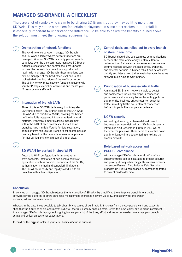### **MANAGED SD-BRANCH: A CHECKLIST**

There are a lot of vendors who claim to be offering SD-Branch, but they may be little more than SD-WAN. This may not be a problem for certain deployments in some other sectors, but in retail it is especially important to understand the difference. To be able to deliver the benefits outlined above the solution must meet the following requirements.

#### **Orchestration of network functions**

The key difference between managed SD-Branch and SD-WAN is largely where network functions are managed. Whereas SD-WAN is strictly geared towards data flows over the transport layer, managed SD-Branch extends orchestration and control one laver upwards to cover the network functions that support smart retail. With managed SD-Branch, these functions can now be managed at the head office level and jointly orchestrated over both sides of the WAN connection. The ability to view these network functions together with your MSP helps streamline operations and makes your IT resource more efficient.

### **Integration of branch LANs**

Think of this as SD-WAN technology that integrates LAN functionality – SD-Branch does to the LAN what SD-WAN did to traditional WANs, allowing the branch LAN to be fully integrated into a centralised network platform. It thereby simplifies device management within the LAN of each branch site. Even if some branches have multiple VLANs for data separation, administrators can use SD-Branch to set access policies centrally based on the device type, user, or application for that particular site or a group of similar sites.

#### **SD-WLAN for perfect in-store Wi-Fi**

store concepts, integration of new access points or Automatic Wi-Fi configuration for innovative inapplications such as hotspots, definition of the SSIDs. authentication method and bandwidth limitations. The SD-WLAN is easily and rapidly rolled out to all branches with auto-configuration.

#### **Central decisions rolled out to every branch or store in real time**

SD-Branch should give you seamless communications between the main office and your stores. Central orchestration of all network processes ensures secure communication between the head office, branches, and external partners. A branch rollout can be achieved quickly and later scaled just as easily because the same software build runs at every branch.

#### **Prioritisation of business-critical traffic**

A managed SD-Branch network is able to detect and compensate for sudden drops in connection performance automatically by implementing policies that prioritise business-critical over non-essential traffic, rerouting traffic over different connections before it impacts the shopper's experience.

#### **NGFW** security

Without tight security, software-defined branch becomes a software-defined risk. SD-Branch security introduces Next-Generation Firewalls (NGFWs) at the branch's gateways. These serve as a control point that intelligently filters data entering or exiting the branch network.

### **Role-based network access and PCI-DSS compliance**

With a managed SD-Branch network IoT, staff and customer traffic can be separated to protect security and privacy. Among other things, this means retailers can ensure Payment Card Industry Data Security Standard (PCI-DSS) compliance by segmenting traffic to protect cardholder data.

#### **Conclusion**

In conclusion, managed SD-Branch extends the functionality of SD-WAN by simplifying the enterprise branch-into a single. software-centric platform. It offers enhanced management, increased network visibility, and security for the branch network, IoT and end-user devices.

Whereas in the past it was possible to talk about bricks versus clicks in retail, it is clear from the way people want and expect to shop that the future of bricks-and-mortar is digital, the fully digitally enabled store. Given this new reality, any up-front investment in a managed SD-Branch deployment is going to save you a lot of the time, effort and resources needed to manage your branch estate and deliver on customer expectations.

It could be the biggest factor in your retail business's future success.